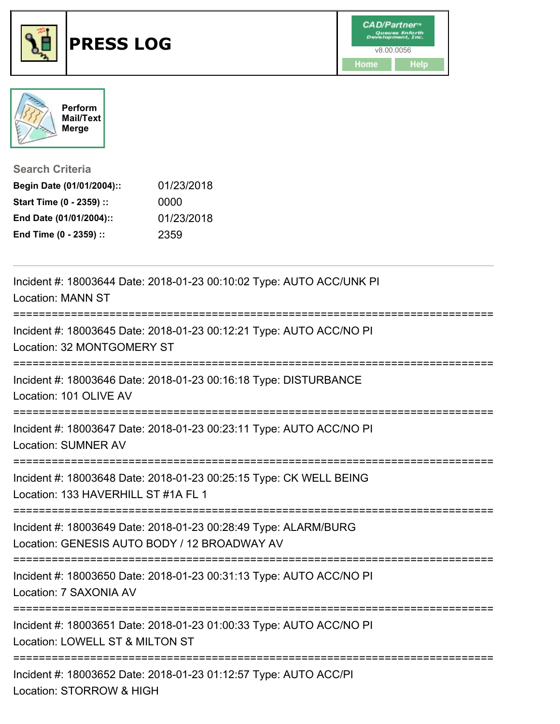



**Search Criteria**

| Begin Date (01/01/2004):: | 01/23/2018 |
|---------------------------|------------|
| Start Time (0 - 2359) ::  | 0000       |
| End Date (01/01/2004)::   | 01/23/2018 |
| End Time (0 - 2359) ::    | 2359       |

| Incident #: 18003644 Date: 2018-01-23 00:10:02 Type: AUTO ACC/UNK PI<br><b>Location: MANN ST</b>                                                  |
|---------------------------------------------------------------------------------------------------------------------------------------------------|
| Incident #: 18003645 Date: 2018-01-23 00:12:21 Type: AUTO ACC/NO PI<br>Location: 32 MONTGOMERY ST                                                 |
| Incident #: 18003646 Date: 2018-01-23 00:16:18 Type: DISTURBANCE<br>Location: 101 OLIVE AV                                                        |
| Incident #: 18003647 Date: 2018-01-23 00:23:11 Type: AUTO ACC/NO PI<br>Location: SUMNER AV                                                        |
| Incident #: 18003648 Date: 2018-01-23 00:25:15 Type: CK WELL BEING<br>Location: 133 HAVERHILL ST #1A FL 1<br>.----------------------------------- |
| Incident #: 18003649 Date: 2018-01-23 00:28:49 Type: ALARM/BURG<br>Location: GENESIS AUTO BODY / 12 BROADWAY AV                                   |
| Incident #: 18003650 Date: 2018-01-23 00:31:13 Type: AUTO ACC/NO PI<br>Location: 7 SAXONIA AV                                                     |
| Incident #: 18003651 Date: 2018-01-23 01:00:33 Type: AUTO ACC/NO PI<br>Location: LOWELL ST & MILTON ST                                            |
| Incident #: 18003652 Date: 2018-01-23 01:12:57 Type: AUTO ACC/PI<br>Location: STORROW & HIGH                                                      |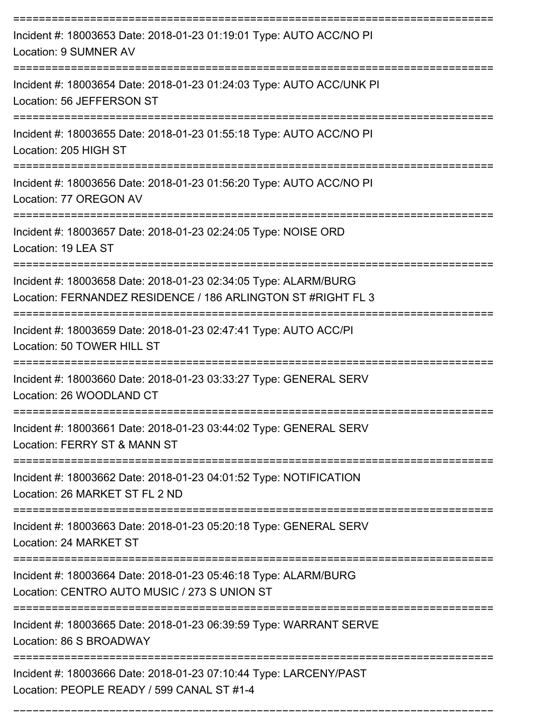| Incident #: 18003653 Date: 2018-01-23 01:19:01 Type: AUTO ACC/NO PI<br>Location: 9 SUMNER AV                                              |
|-------------------------------------------------------------------------------------------------------------------------------------------|
| Incident #: 18003654 Date: 2018-01-23 01:24:03 Type: AUTO ACC/UNK PI<br>Location: 56 JEFFERSON ST                                         |
| Incident #: 18003655 Date: 2018-01-23 01:55:18 Type: AUTO ACC/NO PI<br>Location: 205 HIGH ST<br>------------                              |
| Incident #: 18003656 Date: 2018-01-23 01:56:20 Type: AUTO ACC/NO PI<br>Location: 77 OREGON AV                                             |
| Incident #: 18003657 Date: 2018-01-23 02:24:05 Type: NOISE ORD<br>Location: 19 LEA ST                                                     |
| Incident #: 18003658 Date: 2018-01-23 02:34:05 Type: ALARM/BURG<br>Location: FERNANDEZ RESIDENCE / 186 ARLINGTON ST #RIGHT FL 3           |
| Incident #: 18003659 Date: 2018-01-23 02:47:41 Type: AUTO ACC/PI<br>Location: 50 TOWER HILL ST                                            |
| Incident #: 18003660 Date: 2018-01-23 03:33:27 Type: GENERAL SERV<br>Location: 26 WOODLAND CT                                             |
| Incident #: 18003661 Date: 2018-01-23 03:44:02 Type: GENERAL SERV<br>Location: FERRY ST & MANN ST                                         |
| Incident #: 18003662 Date: 2018-01-23 04:01:52 Type: NOTIFICATION<br>Location: 26 MARKET ST FL 2 ND                                       |
| Incident #: 18003663 Date: 2018-01-23 05:20:18 Type: GENERAL SERV<br>Location: 24 MARKET ST                                               |
| Incident #: 18003664 Date: 2018-01-23 05:46:18 Type: ALARM/BURG<br>Location: CENTRO AUTO MUSIC / 273 S UNION ST                           |
| Incident #: 18003665 Date: 2018-01-23 06:39:59 Type: WARRANT SERVE<br>Location: 86 S BROADWAY                                             |
| ----------------------<br>Incident #: 18003666 Date: 2018-01-23 07:10:44 Type: LARCENY/PAST<br>Location: PEOPLE READY / 599 CANAL ST #1-4 |

===========================================================================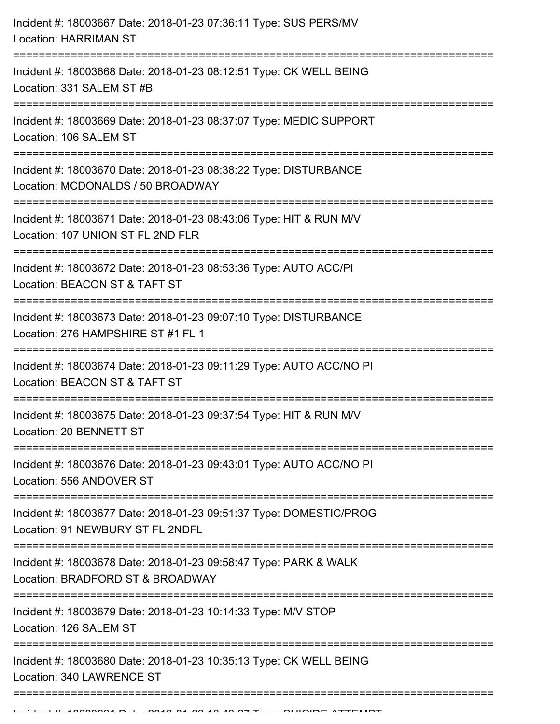| Incident #: 18003667 Date: 2018-01-23 07:36:11 Type: SUS PERS/MV<br><b>Location: HARRIMAN ST</b>                          |
|---------------------------------------------------------------------------------------------------------------------------|
| Incident #: 18003668 Date: 2018-01-23 08:12:51 Type: CK WELL BEING<br>Location: 331 SALEM ST #B                           |
| Incident #: 18003669 Date: 2018-01-23 08:37:07 Type: MEDIC SUPPORT<br>Location: 106 SALEM ST                              |
| Incident #: 18003670 Date: 2018-01-23 08:38:22 Type: DISTURBANCE<br>Location: MCDONALDS / 50 BROADWAY                     |
| Incident #: 18003671 Date: 2018-01-23 08:43:06 Type: HIT & RUN M/V<br>Location: 107 UNION ST FL 2ND FLR                   |
| Incident #: 18003672 Date: 2018-01-23 08:53:36 Type: AUTO ACC/PI<br>Location: BEACON ST & TAFT ST<br>==================== |
| Incident #: 18003673 Date: 2018-01-23 09:07:10 Type: DISTURBANCE<br>Location: 276 HAMPSHIRE ST #1 FL 1                    |
| Incident #: 18003674 Date: 2018-01-23 09:11:29 Type: AUTO ACC/NO PI<br>Location: BEACON ST & TAFT ST                      |
| Incident #: 18003675 Date: 2018-01-23 09:37:54 Type: HIT & RUN M/V<br>Location: 20 BENNETT ST                             |
| Incident #: 18003676 Date: 2018-01-23 09:43:01 Type: AUTO ACC/NO PI<br>Location: 556 ANDOVER ST                           |
| Incident #: 18003677 Date: 2018-01-23 09:51:37 Type: DOMESTIC/PROG<br>Location: 91 NEWBURY ST FL 2NDFL                    |
| Incident #: 18003678 Date: 2018-01-23 09:58:47 Type: PARK & WALK<br>Location: BRADFORD ST & BROADWAY                      |
| Incident #: 18003679 Date: 2018-01-23 10:14:33 Type: M/V STOP<br>Location: 126 SALEM ST                                   |
| Incident #: 18003680 Date: 2018-01-23 10:35:13 Type: CK WELL BEING<br>Location: 340 LAWRENCE ST                           |
|                                                                                                                           |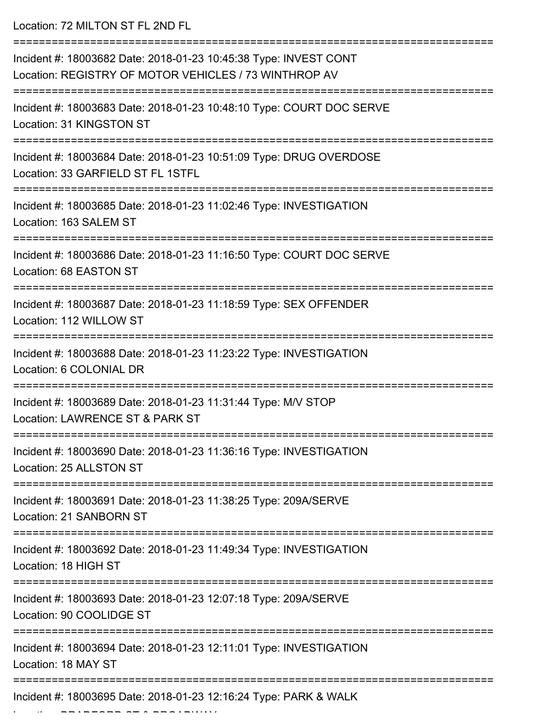Location: 72 MILTON ST FL 2ND FL =========================================================================== Incident #: 18003682 Date: 2018-01-23 10:45:38 Type: INVEST CONT Location: REGISTRY OF MOTOR VEHICLES / 73 WINTHROP AV =========================================================================== Incident #: 18003683 Date: 2018-01-23 10:48:10 Type: COURT DOC SERVE Location: 31 KINGSTON ST =========================================================================== Incident #: 18003684 Date: 2018-01-23 10:51:09 Type: DRUG OVERDOSE Location: 33 GARFIELD ST FL 1STFL =========================================================================== Incident #: 18003685 Date: 2018-01-23 11:02:46 Type: INVESTIGATION Location: 163 SALEM ST =========================================================================== Incident #: 18003686 Date: 2018-01-23 11:16:50 Type: COURT DOC SERVE Location: 68 EASTON ST =========================================================================== Incident #: 18003687 Date: 2018-01-23 11:18:59 Type: SEX OFFENDER Location: 112 WILLOW ST =========================================================================== Incident #: 18003688 Date: 2018-01-23 11:23:22 Type: INVESTIGATION Location: 6 COLONIAL DR =========================================================================== Incident #: 18003689 Date: 2018-01-23 11:31:44 Type: M/V STOP Location: LAWRENCE ST & PARK ST =========================================================================== Incident #: 18003690 Date: 2018-01-23 11:36:16 Type: INVESTIGATION Location: 25 ALLSTON ST =========================================================================== Incident #: 18003691 Date: 2018-01-23 11:38:25 Type: 209A/SERVE Location: 21 SANBORN ST =========================================================================== Incident #: 18003692 Date: 2018-01-23 11:49:34 Type: INVESTIGATION Location: 18 HIGH ST =========================================================================== Incident #: 18003693 Date: 2018-01-23 12:07:18 Type: 209A/SERVE Location: 90 COOLIDGE ST =========================================================================== Incident #: 18003694 Date: 2018-01-23 12:11:01 Type: INVESTIGATION Location: 18 MAY ST ============================= Incident #: 18003695 Date: 2018-01-23 12:16:24 Type: PARK & WALK

Location: BRADFORD ST & BROADWAY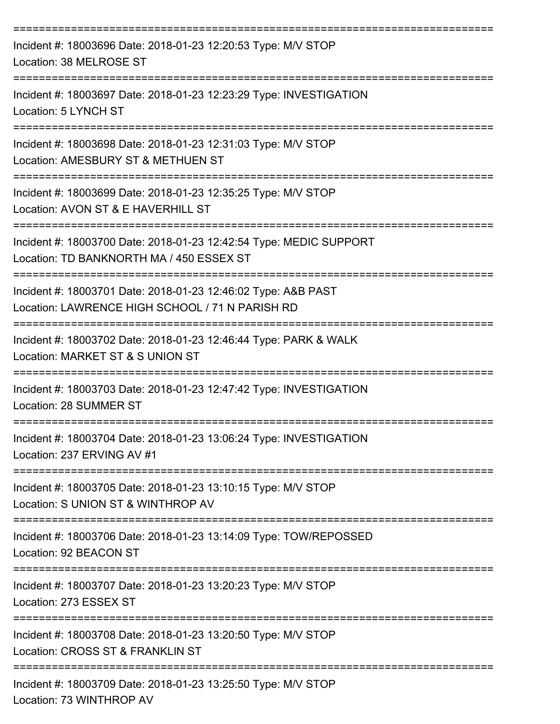| Incident #: 18003696 Date: 2018-01-23 12:20:53 Type: M/V STOP<br>Location: 38 MELROSE ST                                              |
|---------------------------------------------------------------------------------------------------------------------------------------|
| Incident #: 18003697 Date: 2018-01-23 12:23:29 Type: INVESTIGATION<br>Location: 5 LYNCH ST                                            |
| Incident #: 18003698 Date: 2018-01-23 12:31:03 Type: M/V STOP<br>Location: AMESBURY ST & METHUEN ST                                   |
| Incident #: 18003699 Date: 2018-01-23 12:35:25 Type: M/V STOP<br>Location: AVON ST & E HAVERHILL ST                                   |
| Incident #: 18003700 Date: 2018-01-23 12:42:54 Type: MEDIC SUPPORT<br>Location: TD BANKNORTH MA / 450 ESSEX ST                        |
| Incident #: 18003701 Date: 2018-01-23 12:46:02 Type: A&B PAST<br>Location: LAWRENCE HIGH SCHOOL / 71 N PARISH RD                      |
| Incident #: 18003702 Date: 2018-01-23 12:46:44 Type: PARK & WALK<br>Location: MARKET ST & S UNION ST                                  |
| Incident #: 18003703 Date: 2018-01-23 12:47:42 Type: INVESTIGATION<br>Location: 28 SUMMER ST                                          |
| Incident #: 18003704 Date: 2018-01-23 13:06:24 Type: INVESTIGATION<br>Location: 237 ERVING AV #1                                      |
| ==============================<br>Incident #: 18003705 Date: 2018-01-23 13:10:15 Type: M/V STOP<br>Location: S UNION ST & WINTHROP AV |
| Incident #: 18003706 Date: 2018-01-23 13:14:09 Type: TOW/REPOSSED<br>Location: 92 BEACON ST                                           |
| ================================<br>Incident #: 18003707 Date: 2018-01-23 13:20:23 Type: M/V STOP<br>Location: 273 ESSEX ST           |
| Incident #: 18003708 Date: 2018-01-23 13:20:50 Type: M/V STOP<br>Location: CROSS ST & FRANKLIN ST                                     |
| Incident #: 18003709 Date: 2018-01-23 13:25:50 Type: M/V STOP<br>Location: 73 WINTHROP AV                                             |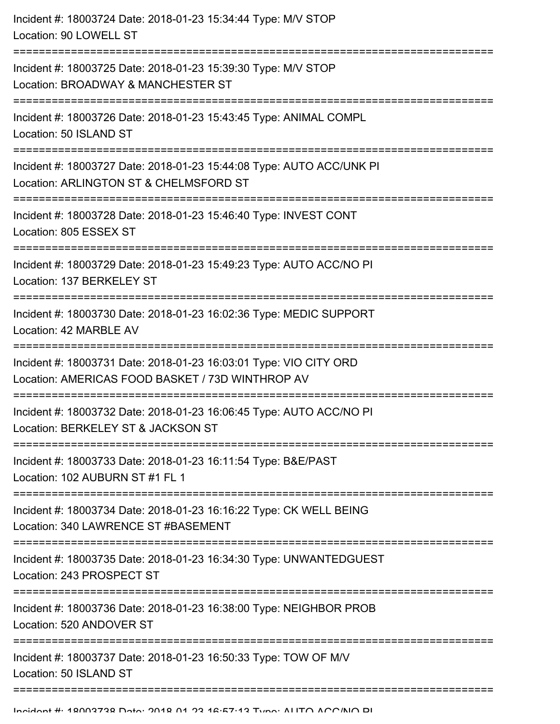| Incident #: 18003724 Date: 2018-01-23 15:34:44 Type: M/V STOP<br>Location: 90 LOWELL ST                                               |
|---------------------------------------------------------------------------------------------------------------------------------------|
| Incident #: 18003725 Date: 2018-01-23 15:39:30 Type: M/V STOP<br>Location: BROADWAY & MANCHESTER ST                                   |
| Incident #: 18003726 Date: 2018-01-23 15:43:45 Type: ANIMAL COMPL<br>Location: 50 ISLAND ST                                           |
| Incident #: 18003727 Date: 2018-01-23 15:44:08 Type: AUTO ACC/UNK PI<br>Location: ARLINGTON ST & CHELMSFORD ST                        |
| Incident #: 18003728 Date: 2018-01-23 15:46:40 Type: INVEST CONT<br>Location: 805 ESSEX ST                                            |
| Incident #: 18003729 Date: 2018-01-23 15:49:23 Type: AUTO ACC/NO PI<br>Location: 137 BERKELEY ST<br>:================================ |
| Incident #: 18003730 Date: 2018-01-23 16:02:36 Type: MEDIC SUPPORT<br>Location: 42 MARBLE AV                                          |
| Incident #: 18003731 Date: 2018-01-23 16:03:01 Type: VIO CITY ORD<br>Location: AMERICAS FOOD BASKET / 73D WINTHROP AV                 |
| Incident #: 18003732 Date: 2018-01-23 16:06:45 Type: AUTO ACC/NO PI<br>Location: BERKELEY ST & JACKSON ST                             |
| Incident #: 18003733 Date: 2018-01-23 16:11:54 Type: B&E/PAST<br>Location: 102 AUBURN ST #1 FL 1                                      |
| Incident #: 18003734 Date: 2018-01-23 16:16:22 Type: CK WELL BEING<br>Location: 340 LAWRENCE ST #BASEMENT                             |
| Incident #: 18003735 Date: 2018-01-23 16:34:30 Type: UNWANTEDGUEST<br>Location: 243 PROSPECT ST                                       |
| Incident #: 18003736 Date: 2018-01-23 16:38:00 Type: NEIGHBOR PROB<br>Location: 520 ANDOVER ST                                        |
| Incident #: 18003737 Date: 2018-01-23 16:50:33 Type: TOW OF M/V<br>Location: 50 ISLAND ST                                             |
|                                                                                                                                       |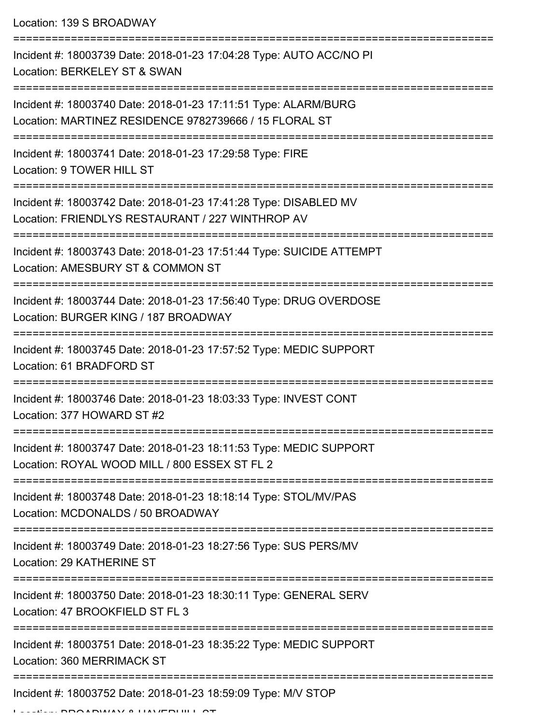Location: 139 S BROADWAY

| Incident #: 18003739 Date: 2018-01-23 17:04:28 Type: AUTO ACC/NO PI<br>Location: BERKELEY ST & SWAN                                  |
|--------------------------------------------------------------------------------------------------------------------------------------|
| Incident #: 18003740 Date: 2018-01-23 17:11:51 Type: ALARM/BURG<br>Location: MARTINEZ RESIDENCE 9782739666 / 15 FLORAL ST            |
| Incident #: 18003741 Date: 2018-01-23 17:29:58 Type: FIRE<br>Location: 9 TOWER HILL ST                                               |
| Incident #: 18003742 Date: 2018-01-23 17:41:28 Type: DISABLED MV<br>Location: FRIENDLYS RESTAURANT / 227 WINTHROP AV                 |
| Incident #: 18003743 Date: 2018-01-23 17:51:44 Type: SUICIDE ATTEMPT<br>Location: AMESBURY ST & COMMON ST                            |
| Incident #: 18003744 Date: 2018-01-23 17:56:40 Type: DRUG OVERDOSE<br>Location: BURGER KING / 187 BROADWAY                           |
| Incident #: 18003745 Date: 2018-01-23 17:57:52 Type: MEDIC SUPPORT<br>Location: 61 BRADFORD ST                                       |
| Incident #: 18003746 Date: 2018-01-23 18:03:33 Type: INVEST CONT<br>Location: 377 HOWARD ST #2                                       |
| Incident #: 18003747 Date: 2018-01-23 18:11:53 Type: MEDIC SUPPORT<br>Location: ROYAL WOOD MILL / 800 ESSEX ST FL 2                  |
| Incident #: 18003748 Date: 2018-01-23 18:18:14 Type: STOL/MV/PAS<br>Location: MCDONALDS / 50 BROADWAY                                |
| Incident #: 18003749 Date: 2018-01-23 18:27:56 Type: SUS PERS/MV<br>Location: 29 KATHERINE ST<br>=================================== |
| Incident #: 18003750 Date: 2018-01-23 18:30:11 Type: GENERAL SERV<br>Location: 47 BROOKFIELD ST FL 3                                 |
| Incident #: 18003751 Date: 2018-01-23 18:35:22 Type: MEDIC SUPPORT<br>Location: 360 MERRIMACK ST                                     |
| ===============================<br>Incident #: 18003752 Date: 2018-01-23 18:59:09 Type: M/V STOP                                     |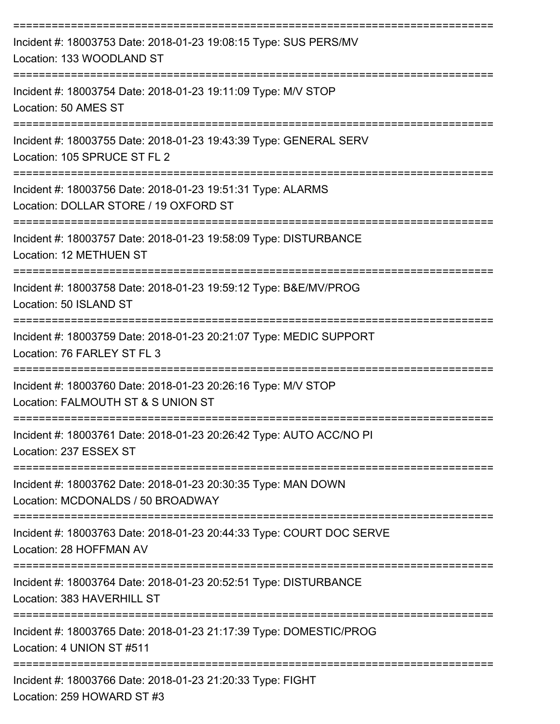| Incident #: 18003753 Date: 2018-01-23 19:08:15 Type: SUS PERS/MV<br>Location: 133 WOODLAND ST                              |
|----------------------------------------------------------------------------------------------------------------------------|
| Incident #: 18003754 Date: 2018-01-23 19:11:09 Type: M/V STOP<br>Location: 50 AMES ST                                      |
| Incident #: 18003755 Date: 2018-01-23 19:43:39 Type: GENERAL SERV<br>Location: 105 SPRUCE ST FL 2                          |
| ,,,,,,,,,,,,,,,,,<br>Incident #: 18003756 Date: 2018-01-23 19:51:31 Type: ALARMS<br>Location: DOLLAR STORE / 19 OXFORD ST  |
| Incident #: 18003757 Date: 2018-01-23 19:58:09 Type: DISTURBANCE<br>Location: 12 METHUEN ST                                |
| Incident #: 18003758 Date: 2018-01-23 19:59:12 Type: B&E/MV/PROG<br>Location: 50 ISLAND ST                                 |
| Incident #: 18003759 Date: 2018-01-23 20:21:07 Type: MEDIC SUPPORT<br>Location: 76 FARLEY ST FL 3                          |
| Incident #: 18003760 Date: 2018-01-23 20:26:16 Type: M/V STOP<br>Location: FALMOUTH ST & S UNION ST                        |
| Incident #: 18003761 Date: 2018-01-23 20:26:42 Type: AUTO ACC/NO PI<br>Location: 237 ESSEX ST                              |
| Incident #: 18003762 Date: 2018-01-23 20:30:35 Type: MAN DOWN<br>Location: MCDONALDS / 50 BROADWAY                         |
| Incident #: 18003763 Date: 2018-01-23 20:44:33 Type: COURT DOC SERVE<br>Location: 28 HOFFMAN AV                            |
| ------------------------<br>Incident #: 18003764 Date: 2018-01-23 20:52:51 Type: DISTURBANCE<br>Location: 383 HAVERHILL ST |
| Incident #: 18003765 Date: 2018-01-23 21:17:39 Type: DOMESTIC/PROG<br>Location: 4 UNION ST #511                            |
| Incident #: 18003766 Date: 2018-01-23 21:20:33 Type: FIGHT<br>Location: 259 HOWARD ST #3                                   |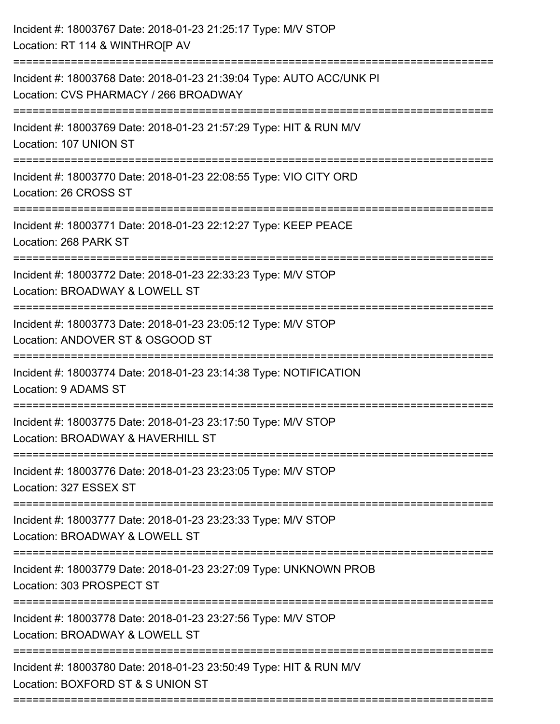| Incident #: 18003767 Date: 2018-01-23 21:25:17 Type: M/V STOP<br>Location: RT 114 & WINTHROJP AV              |
|---------------------------------------------------------------------------------------------------------------|
| Incident #: 18003768 Date: 2018-01-23 21:39:04 Type: AUTO ACC/UNK PI<br>Location: CVS PHARMACY / 266 BROADWAY |
| Incident #: 18003769 Date: 2018-01-23 21:57:29 Type: HIT & RUN M/V<br>Location: 107 UNION ST                  |
| Incident #: 18003770 Date: 2018-01-23 22:08:55 Type: VIO CITY ORD<br>Location: 26 CROSS ST                    |
| Incident #: 18003771 Date: 2018-01-23 22:12:27 Type: KEEP PEACE<br>Location: 268 PARK ST                      |
| Incident #: 18003772 Date: 2018-01-23 22:33:23 Type: M/V STOP<br>Location: BROADWAY & LOWELL ST               |
| Incident #: 18003773 Date: 2018-01-23 23:05:12 Type: M/V STOP<br>Location: ANDOVER ST & OSGOOD ST             |
| Incident #: 18003774 Date: 2018-01-23 23:14:38 Type: NOTIFICATION<br>Location: 9 ADAMS ST                     |
| Incident #: 18003775 Date: 2018-01-23 23:17:50 Type: M/V STOP<br>Location: BROADWAY & HAVERHILL ST            |
| Incident #: 18003776 Date: 2018-01-23 23:23:05 Type: M/V STOP<br>Location: 327 ESSEX ST                       |
| Incident #: 18003777 Date: 2018-01-23 23:23:33 Type: M/V STOP<br>Location: BROADWAY & LOWELL ST               |
| Incident #: 18003779 Date: 2018-01-23 23:27:09 Type: UNKNOWN PROB<br>Location: 303 PROSPECT ST                |
| Incident #: 18003778 Date: 2018-01-23 23:27:56 Type: M/V STOP<br>Location: BROADWAY & LOWELL ST               |
| Incident #: 18003780 Date: 2018-01-23 23:50:49 Type: HIT & RUN M/V<br>Location: BOXFORD ST & S UNION ST       |